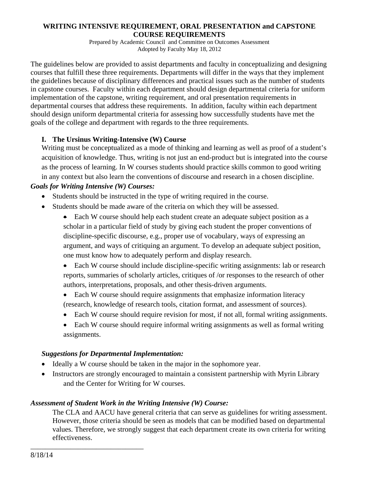#### **WRITING INTENSIVE REQUIREMENT, ORAL PRESENTATION and CAPSTONE COURSE REQUIREMENTS**

Prepared by Academic Council and Committee on Outcomes Assessment Adopted by Faculty May 18, 2012

The guidelines below are provided to assist departments and faculty in conceptualizing and designing courses that fulfill these three requirements. Departments will differ in the ways that they implement the guidelines because of disciplinary differences and practical issues such as the number of students in capstone courses. Faculty within each department should design departmental criteria for uniform implementation of the capstone, writing requirement, and oral presentation requirements in departmental courses that address these requirements. In addition, faculty within each department should design uniform departmental criteria for assessing how successfully students have met the goals of the college and department with regards to the three requirements.

## **I. The Ursinus Writing-Intensive (W) Course**

Writing must be conceptualized as a mode of thinking and learning as well as proof of a student's acquisition of knowledge. Thus, writing is not just an end-product but is integrated into the course as the process of learning. In W courses students should practice skills common to good writing in any context but also learn the conventions of discourse and research in a chosen discipline.

#### *Goals for Writing Intensive (W) Courses:*

- Students should be instructed in the type of writing required in the course.
- Students should be made aware of the criteria on which they will be assessed.
	- Each W course should help each student create an adequate subject position as a scholar in a particular field of study by giving each student the proper conventions of discipline-specific discourse, e.g., proper use of vocabulary, ways of expressing an argument, and ways of critiquing an argument. To develop an adequate subject position, one must know how to adequately perform and display research.
	- Each W course should include discipline-specific writing assignments: lab or research reports, summaries of scholarly articles, critiques of /or responses to the research of other authors, interpretations, proposals, and other thesis-driven arguments.
	- Each W course should require assignments that emphasize information literacy (research, knowledge of research tools, citation format, and assessment of sources).
	- Each W course should require revision for most, if not all, formal writing assignments.
	- Each W course should require informal writing assignments as well as formal writing assignments.

#### *Suggestions for Departmental Implementation:*

\_\_\_\_\_\_\_\_\_\_\_\_\_\_\_\_\_\_\_\_\_\_\_\_\_\_\_\_\_\_\_

- Ideally a W course should be taken in the major in the sophomore year.
- Instructors are strongly encouraged to maintain a consistent partnership with Myrin Library and the Center for Writing for W courses.

#### *Assessment of Student Work in the Writing Intensive (W) Course:*

The CLA and AACU have general criteria that can serve as guidelines for writing assessment. However, those criteria should be seen as models that can be modified based on departmental values. Therefore, we strongly suggest that each department create its own criteria for writing effectiveness.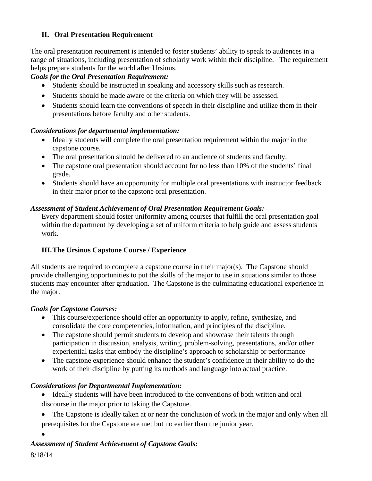## **II. Oral Presentation Requirement**

The oral presentation requirement is intended to foster students' ability to speak to audiences in a range of situations, including presentation of scholarly work within their discipline. The requirement helps prepare students for the world after Ursinus.

## *Goals for the Oral Presentation Requirement:*

- Students should be instructed in speaking and accessory skills such as research.
- Students should be made aware of the criteria on which they will be assessed.
- Students should learn the conventions of speech in their discipline and utilize them in their presentations before faculty and other students.

## *Considerations for departmental implementation:*

- Ideally students will complete the oral presentation requirement within the major in the capstone course.
- The oral presentation should be delivered to an audience of students and faculty.
- The capstone oral presentation should account for no less than 10% of the students' final grade.
- Students should have an opportunity for multiple oral presentations with instructor feedback in their major prior to the capstone oral presentation.

## *Assessment of Student Achievement of Oral Presentation Requirement Goals:*

Every department should foster uniformity among courses that fulfill the oral presentation goal within the department by developing a set of uniform criteria to help guide and assess students work.

## **III.The Ursinus Capstone Course / Experience**

All students are required to complete a capstone course in their major(s). The Capstone should provide challenging opportunities to put the skills of the major to use in situations similar to those students may encounter after graduation. The Capstone is the culminating educational experience in the major.

## *Goals for Capstone Courses:*

- This course/experience should offer an opportunity to apply, refine, synthesize, and consolidate the core competencies, information, and principles of the discipline.
- The capstone should permit students to develop and showcase their talents through participation in discussion, analysis, writing, problem-solving, presentations, and/or other experiential tasks that embody the discipline's approach to scholarship or performance
- The capstone experience should enhance the student's confidence in their ability to do the work of their discipline by putting its methods and language into actual practice.

# *Considerations for Departmental Implementation:*

- Ideally students will have been introduced to the conventions of both written and oral discourse in the major prior to taking the Capstone.
- The Capstone is ideally taken at or near the conclusion of work in the major and only when all prerequisites for the Capstone are met but no earlier than the junior year.
- $\bullet$

# *Assessment of Student Achievement of Capstone Goals:*